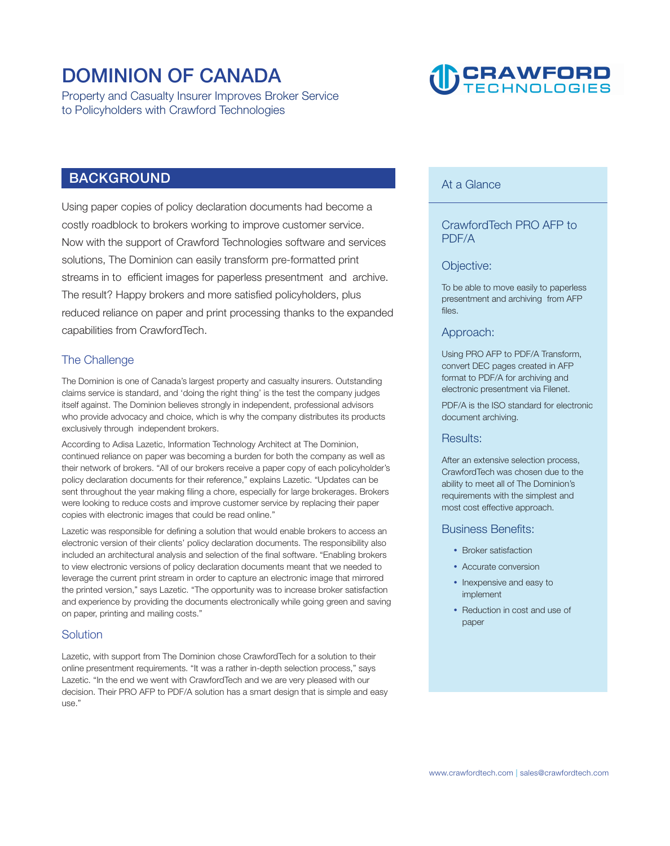# **DOMINION OF CANADA**

**Property and Casualty Insurer Improves Broker Service to Policyholders with Crawford Technologies** 

# D CRAWFORD

# **BACKGROUND**

**Using paper copies of policy declaration documents had become a costly roadblock to brokers working to improve customer service. Now with the support of Crawford Technologies software and services solutions, The Dominion can easily transform pre-formatted print streams in to efficient images for paperless presentment and archive. The result? Happy brokers and more satisfied policyholders, plus reduced reliance on paper and print processing thanks to the expanded capabilities from CrawfordTech.** 

## **The Challenge**

**The Dominion is one of Canada's largest property and casualty insurers. Outstanding claims service is standard, and 'doing the right thing' is the test the company judges itself against. The Dominion believes strongly in independent, professional advisors who provide advocacy and choice, which is why the company distributes its products exclusively through independent brokers.** 

**According to Adisa Lazetic, Information Technology Architect at The Dominion, continued reliance on paper was becoming a burden for both the company as well as their network of brokers. "All of our brokers receive a paper copy of each policyholder's policy declaration documents for their reference," explains Lazetic. "Updates can be sent throughout the year making filing a chore, especially for large brokerages. Brokers were looking to reduce costs and improve customer service by replacing their paper copies with electronic images that could be read online."** 

**Lazetic was responsible for defining a solution that would enable brokers to access an electronic version of their clients' policy declaration documents. The responsibility also included an architectural analysis and selection of the final software. "Enabling brokers to view electronic versions of policy declaration documents meant that we needed to leverage the current print stream in order to capture an electronic image that mirrored the printed version," says Lazetic. "The opportunity was to increase broker satisfaction and experience by providing the documents electronically while going green and saving on paper, printing and mailing costs."** 

#### **Solution**

**Lazetic, with support from The Dominion chose CrawfordTech for a solution to their online presentment requirements. "It was a rather in-depth selection process," says Lazetic. "In the end we went with CrawfordTech and we are very pleased with our decision. Their PRO AFP to PDF/A solution has a smart design that is simple and easy use."** 

# **At a Glance**

## **CrawfordTech PRO AFP to PDF/A**

#### **Objective:**

**To be able to move easily to paperless presentment and archiving from AFP files.** 

#### **Approach:**

**Using PRO AFP to PDF/A Transform, convert DEC pages created in AFP format to PDF/A for archiving and electronic presentment via Filenet.** 

**PDF/A is the ISO standard for electronic document archiving.** 

#### **Results:**

**After an extensive selection process, CrawfordTech was chosen due to the ability to meet all of The Dominion's requirements with the simplest and most cost effective approach.** 

#### **Business Benefits:**

- **Broker satisfaction**
- **Accurate conversion**
- **Inexpensive and easy to implement**
- **Reduction in cost and use of paper**